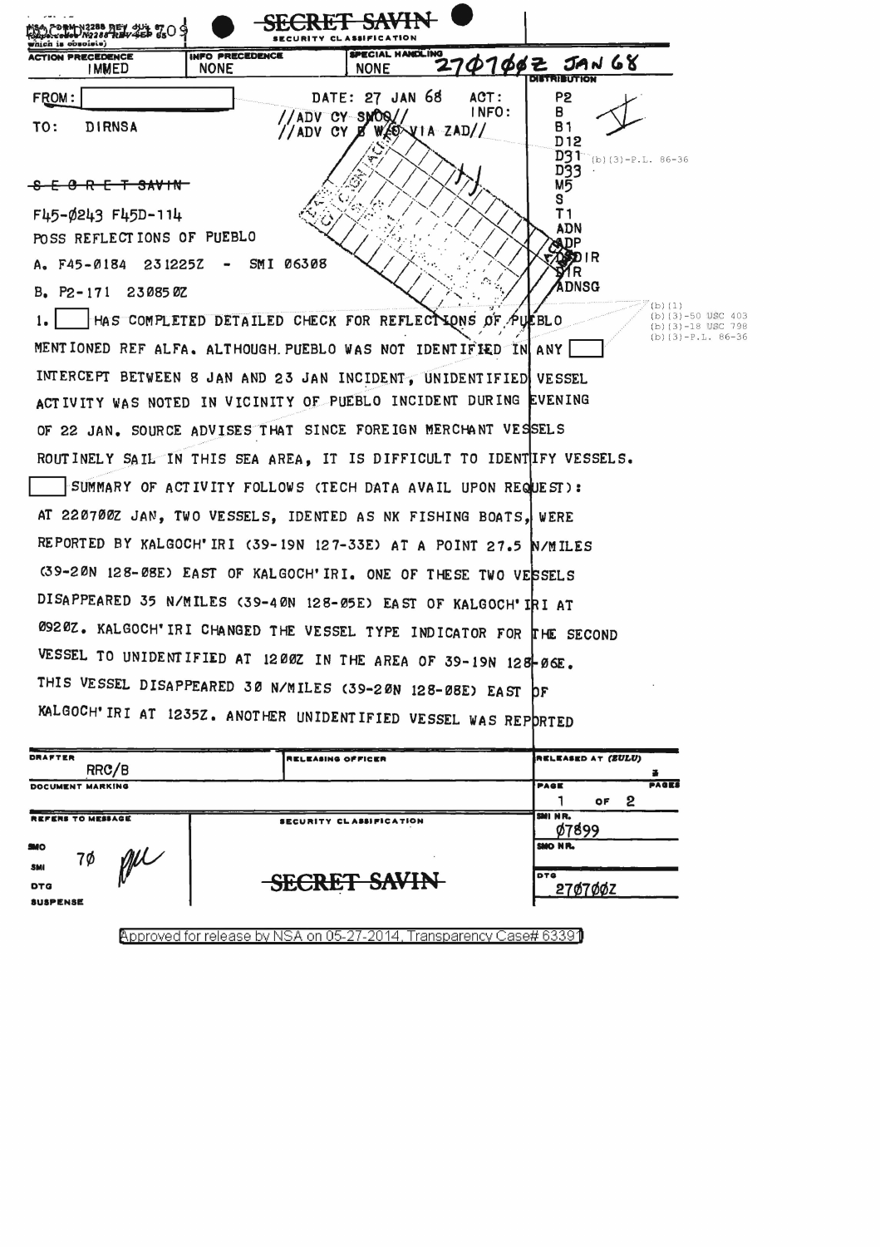

|                               | INSLEASING OFFICER      | ,,,,,,,,,,,,,,,,,,,,,,,,               |  |  |
|-------------------------------|-------------------------|----------------------------------------|--|--|
| RRC/B                         |                         |                                        |  |  |
| DOCUMENT MARKING              |                         | <b>PAGES</b><br>PAGE<br>2<br><b>OF</b> |  |  |
| <b>REFERS TO MESSAGE</b>      | SECURITY CLASSIFICATION | SMI NR.<br>07899                       |  |  |
| MO<br>7Ø<br>SMI               |                         | SMO NR.                                |  |  |
| <b>DTG</b><br><b>SUSPENSE</b> | <b>SECRET SAVIN</b>     | DTG<br>27Ø7ØØZ                         |  |  |

Approved for release by NSA on 05-27-2014, Transparency Case# 63391